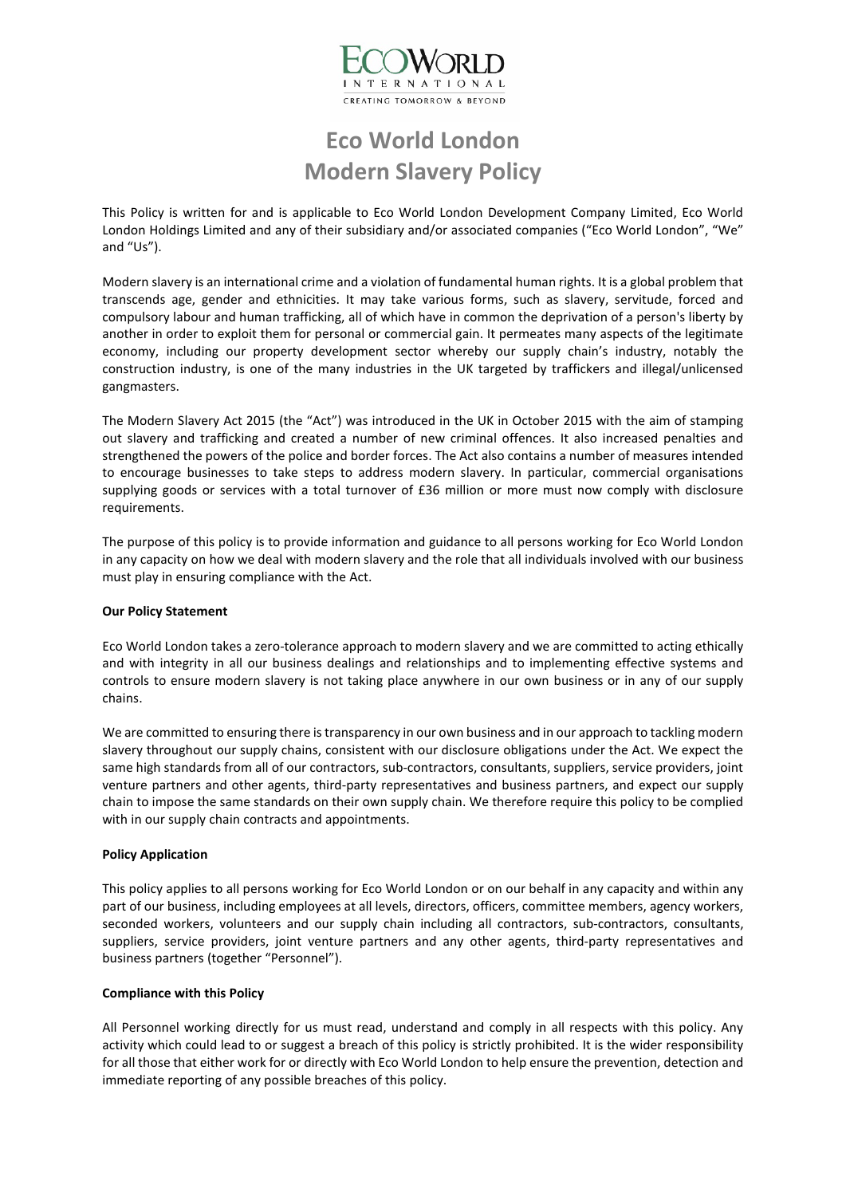

# **Eco World London Modern Slavery Policy**

This Policy is written for and is applicable to Eco World London Development Company Limited, Eco World London Holdings Limited and any of their subsidiary and/or associated companies ("Eco World London", "We" and "Us").

Modern slavery is an international crime and a violation of fundamental human rights. It is a global problem that transcends age, gender and ethnicities. It may take various forms, such as slavery, servitude, forced and compulsory labour and human trafficking, all of which have in common the deprivation of a person's liberty by another in order to exploit them for personal or commercial gain. It permeates many aspects of the legitimate economy, including our property development sector whereby our supply chain's industry, notably the construction industry, is one of the many industries in the UK targeted by traffickers and illegal/unlicensed gangmasters.

The Modern Slavery Act 2015 (the "Act") was introduced in the UK in October 2015 with the aim of stamping out slavery and trafficking and created a number of new criminal offences. It also increased penalties and strengthened the powers of the police and border forces. The Act also contains a number of measures intended to encourage businesses to take steps to address modern slavery. In particular, commercial organisations supplying goods or services with a total turnover of £36 million or more must now comply with disclosure requirements.

The purpose of this policy is to provide information and guidance to all persons working for Eco World London in any capacity on how we deal with modern slavery and the role that all individuals involved with our business must play in ensuring compliance with the Act.

### **Our Policy Statement**

Eco World London takes a zero-tolerance approach to modern slavery and we are committed to acting ethically and with integrity in all our business dealings and relationships and to implementing effective systems and controls to ensure modern slavery is not taking place anywhere in our own business or in any of our supply chains.

We are committed to ensuring there is transparency in our own business and in our approach to tackling modern slavery throughout our supply chains, consistent with our disclosure obligations under the Act. We expect the same high standards from all of our contractors, sub-contractors, consultants, suppliers, service providers, joint venture partners and other agents, third-party representatives and business partners, and expect our supply chain to impose the same standards on their own supply chain. We therefore require this policy to be complied with in our supply chain contracts and appointments.

### **Policy Application**

This policy applies to all persons working for Eco World London or on our behalf in any capacity and within any part of our business, including employees at all levels, directors, officers, committee members, agency workers, seconded workers, volunteers and our supply chain including all contractors, sub-contractors, consultants, suppliers, service providers, joint venture partners and any other agents, third-party representatives and business partners (together "Personnel").

## **Compliance with this Policy**

All Personnel working directly for us must read, understand and comply in all respects with this policy. Any activity which could lead to or suggest a breach of this policy is strictly prohibited. It is the wider responsibility for all those that either work for or directly with Eco World London to help ensure the prevention, detection and immediate reporting of any possible breaches of this policy.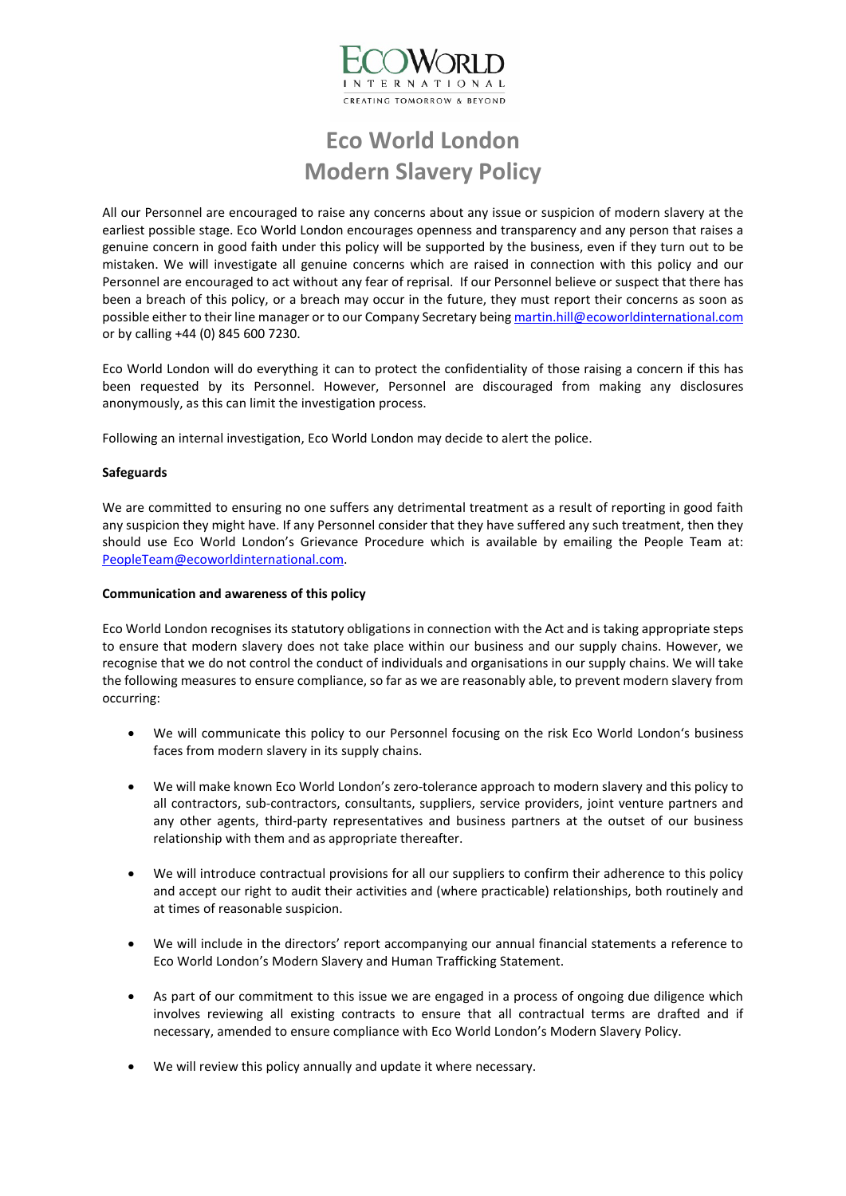

# **Eco World London Modern Slavery Policy**

All our Personnel are encouraged to raise any concerns about any issue or suspicion of modern slavery at the earliest possible stage. Eco World London encourages openness and transparency and any person that raises a genuine concern in good faith under this policy will be supported by the business, even if they turn out to be mistaken. We will investigate all genuine concerns which are raised in connection with this policy and our Personnel are encouraged to act without any fear of reprisal. If our Personnel believe or suspect that there has been a breach of this policy, or a breach may occur in the future, they must report their concerns as soon as possible either to their line manager or to our Company Secretary bein[g martin.hill@ecoworldinternational.com](mailto:martin.hill@ecoworldinternational.com) or by calling +44 (0) 845 600 7230.

Eco World London will do everything it can to protect the confidentiality of those raising a concern if this has been requested by its Personnel. However, Personnel are discouraged from making any disclosures anonymously, as this can limit the investigation process.

Following an internal investigation, Eco World London may decide to alert the police.

## **Safeguards**

We are committed to ensuring no one suffers any detrimental treatment as a result of reporting in good faith any suspicion they might have. If any Personnel consider that they have suffered any such treatment, then they should use Eco World London's Grievance Procedure which is available by emailing the People Team at: [PeopleTeam@ecoworldinternational.com.](mailto:PeopleTeam@ecoworldinternational.com)

### **Communication and awareness of this policy**

Eco World London recognises its statutory obligations in connection with the Act and is taking appropriate steps to ensure that modern slavery does not take place within our business and our supply chains. However, we recognise that we do not control the conduct of individuals and organisations in our supply chains. We will take the following measures to ensure compliance, so far as we are reasonably able, to prevent modern slavery from occurring:

- We will communicate this policy to our Personnel focusing on the risk Eco World London's business faces from modern slavery in its supply chains.
- We will make known Eco World London's zero-tolerance approach to modern slavery and this policy to all contractors, sub-contractors, consultants, suppliers, service providers, joint venture partners and any other agents, third-party representatives and business partners at the outset of our business relationship with them and as appropriate thereafter.
- We will introduce contractual provisions for all our suppliers to confirm their adherence to this policy and accept our right to audit their activities and (where practicable) relationships, both routinely and at times of reasonable suspicion.
- We will include in the directors' report accompanying our annual financial statements a reference to Eco World London's Modern Slavery and Human Trafficking Statement.
- As part of our commitment to this issue we are engaged in a process of ongoing due diligence which involves reviewing all existing contracts to ensure that all contractual terms are drafted and if necessary, amended to ensure compliance with Eco World London's Modern Slavery Policy.
- We will review this policy annually and update it where necessary.